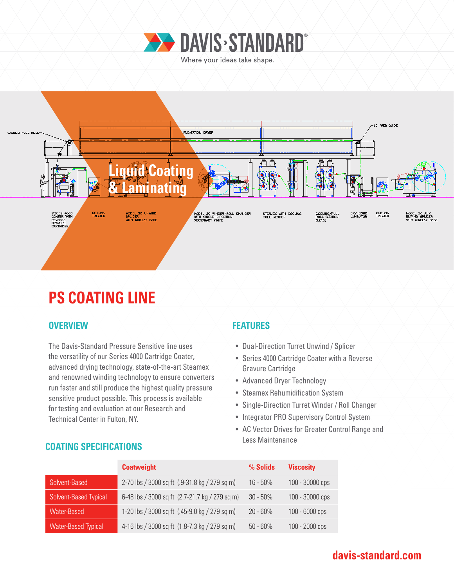



# **PS COATING LINE**

### **OVERVIEW FEATURES**

The Davis-Standard Pressure Sensitive line uses the versatility of our Series 4000 Cartridge Coater, advanced drying technology, state-of-the-art Steamex and renowned winding technology to ensure converters run faster and still produce the highest quality pressure sensitive product possible. This process is available for testing and evaluation at our Research and Technical Center in Fulton, NY.

- Dual-Direction Turret Unwind / Splicer
- Series 4000 Cartridge Coater with a Reverse Gravure Cartridge
- Advanced Dryer Technology
- Steamex Rehumidification System
- Single-Direction Turret Winder / Roll Changer
- Integrator PRO Supervisory Control System
- AC Vector Drives for Greater Control Range and Less Maintenance

|                              | <b>Coatweight</b>                              | % Solids    | <b>Viscosity</b> |
|------------------------------|------------------------------------------------|-------------|------------------|
| Solvent-Based                | 2-70 lbs / 3000 sq ft (.9-31.8 kg / 279 sq m)  | $16 - 50\%$ | 100 - 30000 cps  |
| <b>Solvent-Based Typical</b> | 6-48 lbs / 3000 sq ft (2.7-21.7 kg / 279 sq m) | $30 - 50%$  | 100 - 30000 cps  |
| Water-Based                  | 1-20 lbs / 3000 sq ft (.45-9.0 kg / 279 sq m)  | $20 - 60%$  | 100 - 6000 cps   |
| <b>Water-Based Typical</b>   | 4-16 lbs / 3000 sq ft (1.8-7.3 kg / 279 sq m)  | $50 - 60\%$ | $100 - 2000$ cps |

### **COATING SPECIFICATIONS**

### **davis-standard.com**